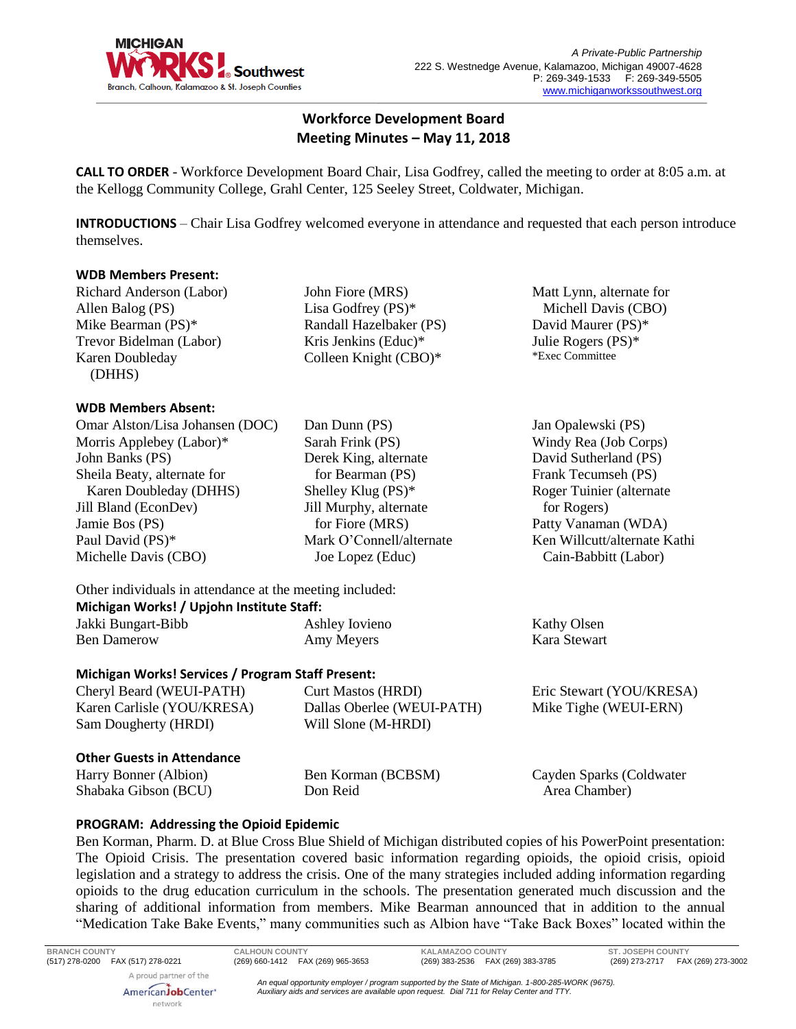

# **Workforce Development Board Meeting Minutes – May 11, 2018**

**CALL TO ORDER** - Workforce Development Board Chair, Lisa Godfrey, called the meeting to order at 8:05 a.m. at the Kellogg Community College, Grahl Center, 125 Seeley Street, Coldwater, Michigan.

**INTRODUCTIONS** – Chair Lisa Godfrey welcomed everyone in attendance and requested that each person introduce themselves.

#### **WDB Members Present:**

Richard Anderson (Labor) Allen Balog (PS) Mike Bearman (PS)\* Trevor Bidelman (Labor) Karen Doubleday (DHHS)

#### **WDB Members Absent:**

Omar Alston/Lisa Johansen (DOC) Morris Applebey (Labor)\* John Banks (PS) Sheila Beaty, alternate for Karen Doubleday (DHHS) Jill Bland (EconDev) Jamie Bos (PS) Paul David (PS)\* Michelle Davis (CBO)

John Fiore (MRS) Lisa Godfrey (PS)\* Randall Hazelbaker (PS) Kris Jenkins (Educ)\* Colleen Knight (CBO)\*

Dan Dunn (PS) Sarah Frink (PS) Derek King, alternate for Bearman (PS) Shelley Klug (PS)\* Jill Murphy, alternate for Fiore (MRS) Mark O'Connell/alternate Joe Lopez (Educ)

 Michell Davis (CBO) David Maurer (PS)\* Julie Rogers (PS)\* \*Exec Committee

Matt Lynn, alternate for

Jan Opalewski (PS) Windy Rea (Job Corps) David Sutherland (PS) Frank Tecumseh (PS) Roger Tuinier (alternate for Rogers) Patty Vanaman (WDA) Ken Willcutt/alternate Kathi Cain-Babbitt (Labor)

Other individuals in attendance at the meeting included: **Michigan Works! / Upjohn Institute Staff:**

| <b>IVIICHIRAII WOTKS: / OPJOIIII IIISULULE SLATI.</b> |                |              |
|-------------------------------------------------------|----------------|--------------|
| Jakki Bungart-Bibb                                    | Ashley Iovieno | Kathy Olsen  |
| <b>Ben Damerow</b>                                    | Amy Meyers     | Kara Stewart |

## **Michigan Works! Services / Program Staff Present:**

Cheryl Beard (WEUI-PATH) Karen Carlisle (YOU/KRESA) Sam Dougherty (HRDI) Curt Mastos (HRDI) Dallas Oberlee (WEUI-PATH) Will Slone (M-HRDI) Eric Stewart (YOU/KRESA) Mike Tighe (WEUI-ERN)

## **Other Guests in Attendance**

AmericanJobCenter<sup>®</sup> network

Harry Bonner (Albion) Shabaka Gibson (BCU) Don Reid

Ben Korman (BCBSM)

Cayden Sparks (Coldwater Area Chamber)

## **PROGRAM: Addressing the Opioid Epidemic**

Ben Korman, Pharm. D. at Blue Cross Blue Shield of Michigan distributed copies of his PowerPoint presentation: The Opioid Crisis. The presentation covered basic information regarding opioids, the opioid crisis, opioid legislation and a strategy to address the crisis. One of the many strategies included adding information regarding opioids to the drug education curriculum in the schools. The presentation generated much discussion and the sharing of additional information from members. Mike Bearman announced that in addition to the annual "Medication Take Bake Events," many communities such as Albion have "Take Back Boxes" located within the

**BRANCH COUNTY CALHOUN COUNTY KALAMAZOO COUNTY ST. JOSEPH COUNTY** (517) 278-0200 FAX (517) 278-0221 (269) 660-1412 FAX (269) 965-3653 (269) 383-2536 FAX (269) 383-3785 (269) 273-2717 FAX (269) 273-3002 A proud partner of the

*An equal opportunity employer / program supported by the State of Michigan. 1-800-285-WORK (9675). Auxiliary aids and services are available upon request. Dial 711 for Relay Center and TTY.*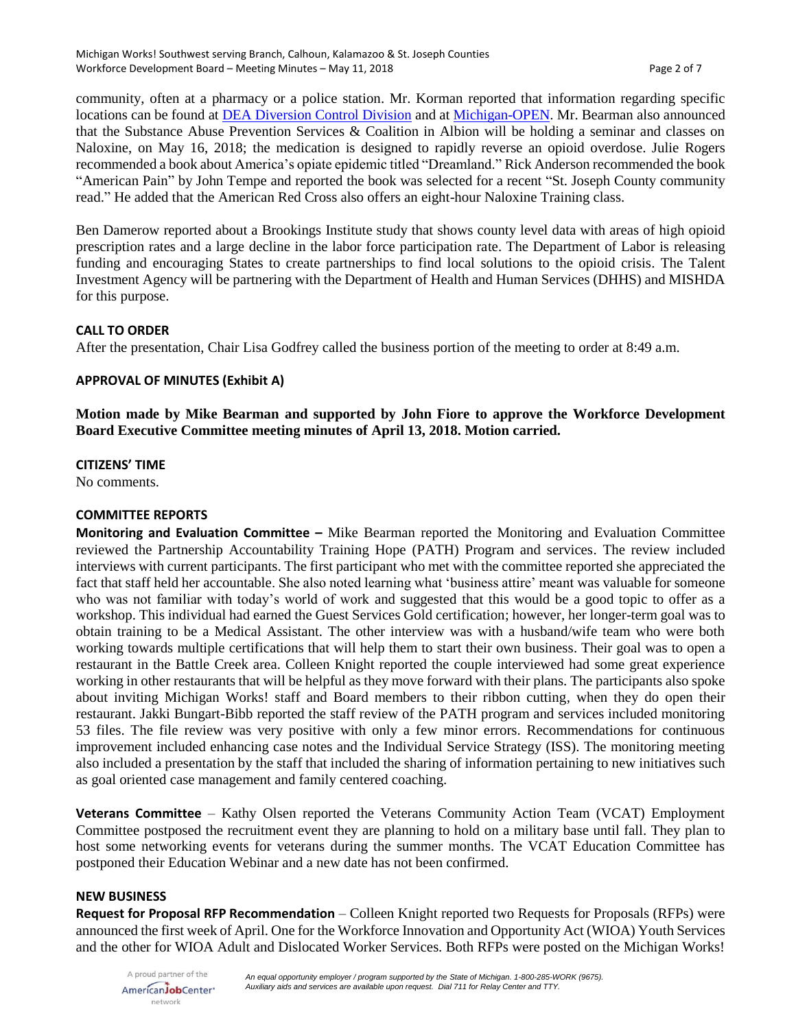community, often at a pharmacy or a police station. Mr. Korman reported that information regarding specific locations can be found at [DEA Diversion Control Division](https://www.deadiversion.usdoj.gov/) and a[t Michigan-OPEN.](http://michigan-open.org/) Mr. Bearman also announced that the Substance Abuse Prevention Services & Coalition in Albion will be holding a seminar and classes on Naloxine, on May 16, 2018; the medication is designed to rapidly reverse an opioid overdose. Julie Rogers recommended a book about America's opiate epidemic titled "Dreamland." Rick Anderson recommended the book "American Pain" by John Tempe and reported the book was selected for a recent "St. Joseph County community read." He added that the American Red Cross also offers an eight-hour Naloxine Training class.

Ben Damerow reported about a Brookings Institute study that shows county level data with areas of high opioid prescription rates and a large decline in the labor force participation rate. The Department of Labor is releasing funding and encouraging States to create partnerships to find local solutions to the opioid crisis. The Talent Investment Agency will be partnering with the Department of Health and Human Services (DHHS) and MISHDA for this purpose.

## **CALL TO ORDER**

After the presentation, Chair Lisa Godfrey called the business portion of the meeting to order at 8:49 a.m.

### **APPROVAL OF MINUTES (Exhibit A)**

**Motion made by Mike Bearman and supported by John Fiore to approve the Workforce Development Board Executive Committee meeting minutes of April 13, 2018. Motion carried.** 

### **CITIZENS' TIME**

No comments.

#### **COMMITTEE REPORTS**

**Monitoring and Evaluation Committee –** Mike Bearman reported the Monitoring and Evaluation Committee reviewed the Partnership Accountability Training Hope (PATH) Program and services. The review included interviews with current participants. The first participant who met with the committee reported she appreciated the fact that staff held her accountable. She also noted learning what 'business attire' meant was valuable for someone who was not familiar with today's world of work and suggested that this would be a good topic to offer as a workshop. This individual had earned the Guest Services Gold certification; however, her longer-term goal was to obtain training to be a Medical Assistant. The other interview was with a husband/wife team who were both working towards multiple certifications that will help them to start their own business. Their goal was to open a restaurant in the Battle Creek area. Colleen Knight reported the couple interviewed had some great experience working in other restaurants that will be helpful as they move forward with their plans. The participants also spoke about inviting Michigan Works! staff and Board members to their ribbon cutting, when they do open their restaurant. Jakki Bungart-Bibb reported the staff review of the PATH program and services included monitoring 53 files. The file review was very positive with only a few minor errors. Recommendations for continuous improvement included enhancing case notes and the Individual Service Strategy (ISS). The monitoring meeting also included a presentation by the staff that included the sharing of information pertaining to new initiatives such as goal oriented case management and family centered coaching.

**Veterans Committee** – Kathy Olsen reported the Veterans Community Action Team (VCAT) Employment Committee postposed the recruitment event they are planning to hold on a military base until fall. They plan to host some networking events for veterans during the summer months. The VCAT Education Committee has postponed their Education Webinar and a new date has not been confirmed.

#### **NEW BUSINESS**

**Request for Proposal RFP Recommendation** – Colleen Knight reported two Requests for Proposals (RFPs) were announced the first week of April. One for the Workforce Innovation and Opportunity Act (WIOA) Youth Services and the other for WIOA Adult and Dislocated Worker Services. Both RFPs were posted on the Michigan Works!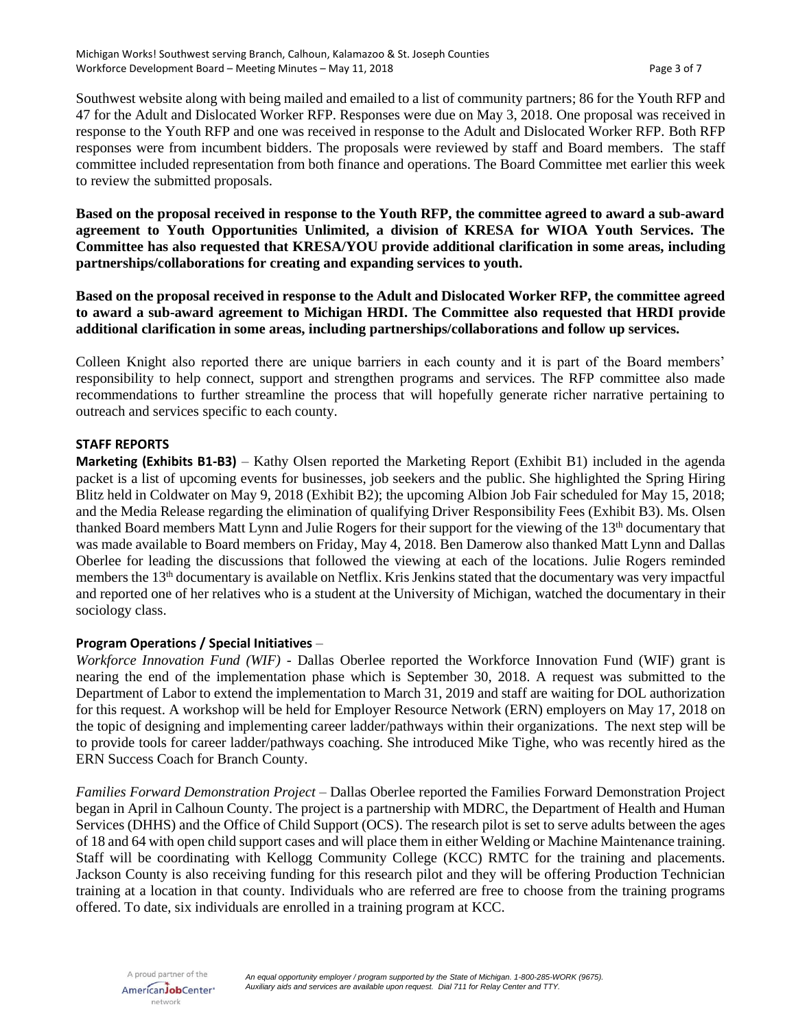Southwest website along with being mailed and emailed to a list of community partners; 86 for the Youth RFP and 47 for the Adult and Dislocated Worker RFP. Responses were due on May 3, 2018. One proposal was received in response to the Youth RFP and one was received in response to the Adult and Dislocated Worker RFP. Both RFP responses were from incumbent bidders. The proposals were reviewed by staff and Board members. The staff committee included representation from both finance and operations. The Board Committee met earlier this week to review the submitted proposals.

**Based on the proposal received in response to the Youth RFP, the committee agreed to award a sub-award agreement to Youth Opportunities Unlimited, a division of KRESA for WIOA Youth Services. The Committee has also requested that KRESA/YOU provide additional clarification in some areas, including partnerships/collaborations for creating and expanding services to youth.**

**Based on the proposal received in response to the Adult and Dislocated Worker RFP, the committee agreed to award a sub-award agreement to Michigan HRDI. The Committee also requested that HRDI provide additional clarification in some areas, including partnerships/collaborations and follow up services.**

Colleen Knight also reported there are unique barriers in each county and it is part of the Board members' responsibility to help connect, support and strengthen programs and services. The RFP committee also made recommendations to further streamline the process that will hopefully generate richer narrative pertaining to outreach and services specific to each county.

### **STAFF REPORTS**

**Marketing (Exhibits B1-B3)** – Kathy Olsen reported the Marketing Report (Exhibit B1) included in the agenda packet is a list of upcoming events for businesses, job seekers and the public. She highlighted the Spring Hiring Blitz held in Coldwater on May 9, 2018 (Exhibit B2); the upcoming Albion Job Fair scheduled for May 15, 2018; and the Media Release regarding the elimination of qualifying Driver Responsibility Fees (Exhibit B3). Ms. Olsen thanked Board members Matt Lynn and Julie Rogers for their support for the viewing of the 13th documentary that was made available to Board members on Friday, May 4, 2018. Ben Damerow also thanked Matt Lynn and Dallas Oberlee for leading the discussions that followed the viewing at each of the locations. Julie Rogers reminded members the 13<sup>th</sup> documentary is available on Netflix. Kris Jenkins stated that the documentary was very impactful and reported one of her relatives who is a student at the University of Michigan, watched the documentary in their sociology class.

## **Program Operations / Special Initiatives** –

*Workforce Innovation Fund (WIF) -* Dallas Oberlee reported the Workforce Innovation Fund (WIF) grant is nearing the end of the implementation phase which is September 30, 2018. A request was submitted to the Department of Labor to extend the implementation to March 31, 2019 and staff are waiting for DOL authorization for this request. A workshop will be held for Employer Resource Network (ERN) employers on May 17, 2018 on the topic of designing and implementing career ladder/pathways within their organizations. The next step will be to provide tools for career ladder/pathways coaching. She introduced Mike Tighe, who was recently hired as the ERN Success Coach for Branch County.

*Families Forward Demonstration Project* – Dallas Oberlee reported the Families Forward Demonstration Project began in April in Calhoun County. The project is a partnership with MDRC, the Department of Health and Human Services (DHHS) and the Office of Child Support (OCS). The research pilot is set to serve adults between the ages of 18 and 64 with open child support cases and will place them in either Welding or Machine Maintenance training. Staff will be coordinating with Kellogg Community College (KCC) RMTC for the training and placements. Jackson County is also receiving funding for this research pilot and they will be offering Production Technician training at a location in that county. Individuals who are referred are free to choose from the training programs offered. To date, six individuals are enrolled in a training program at KCC.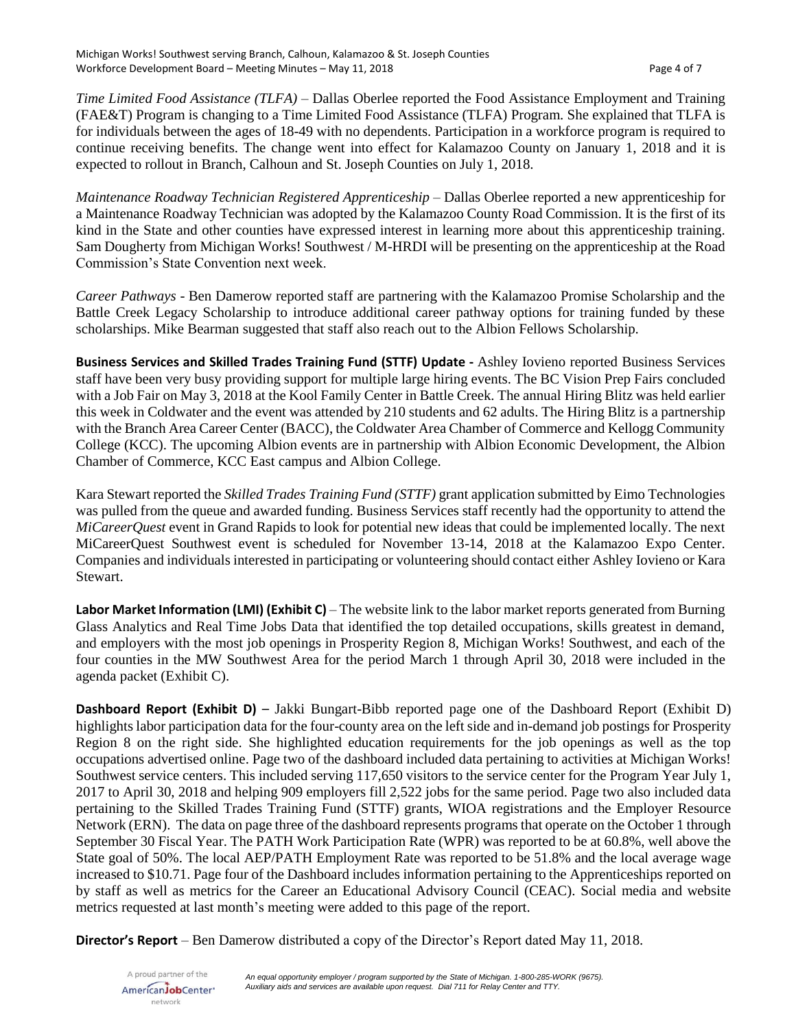*Time Limited Food Assistance (TLFA)* – Dallas Oberlee reported the Food Assistance Employment and Training (FAE&T) Program is changing to a Time Limited Food Assistance (TLFA) Program. She explained that TLFA is for individuals between the ages of 18-49 with no dependents. Participation in a workforce program is required to continue receiving benefits. The change went into effect for Kalamazoo County on January 1, 2018 and it is expected to rollout in Branch, Calhoun and St. Joseph Counties on July 1, 2018.

*Maintenance Roadway Technician Registered Apprenticeship* – Dallas Oberlee reported a new apprenticeship for a Maintenance Roadway Technician was adopted by the Kalamazoo County Road Commission. It is the first of its kind in the State and other counties have expressed interest in learning more about this apprenticeship training. Sam Dougherty from Michigan Works! Southwest / M-HRDI will be presenting on the apprenticeship at the Road Commission's State Convention next week.

*Career Pathways* - Ben Damerow reported staff are partnering with the Kalamazoo Promise Scholarship and the Battle Creek Legacy Scholarship to introduce additional career pathway options for training funded by these scholarships. Mike Bearman suggested that staff also reach out to the Albion Fellows Scholarship.

**Business Services and Skilled Trades Training Fund (STTF) Update -** Ashley Iovieno reported Business Services staff have been very busy providing support for multiple large hiring events. The BC Vision Prep Fairs concluded with a Job Fair on May 3, 2018 at the Kool Family Center in Battle Creek. The annual Hiring Blitz was held earlier this week in Coldwater and the event was attended by 210 students and 62 adults. The Hiring Blitz is a partnership with the Branch Area Career Center (BACC), the Coldwater Area Chamber of Commerce and Kellogg Community College (KCC). The upcoming Albion events are in partnership with Albion Economic Development, the Albion Chamber of Commerce, KCC East campus and Albion College.

Kara Stewart reported the *Skilled Trades Training Fund (STTF)* grant application submitted by Eimo Technologies was pulled from the queue and awarded funding. Business Services staff recently had the opportunity to attend the *MiCareerQuest* event in Grand Rapids to look for potential new ideas that could be implemented locally. The next MiCareerQuest Southwest event is scheduled for November 13-14, 2018 at the Kalamazoo Expo Center. Companies and individuals interested in participating or volunteering should contact either Ashley Iovieno or Kara Stewart.

**Labor Market Information (LMI) (Exhibit C)** – The website link to the labor market reports generated from Burning Glass Analytics and Real Time Jobs Data that identified the top detailed occupations, skills greatest in demand, and employers with the most job openings in Prosperity Region 8, Michigan Works! Southwest, and each of the four counties in the MW Southwest Area for the period March 1 through April 30, 2018 were included in the agenda packet (Exhibit C).

**Dashboard Report (Exhibit D)** – Jakki Bungart-Bibb reported page one of the Dashboard Report (Exhibit D) highlights labor participation data for the four-county area on the left side and in-demand job postings for Prosperity Region 8 on the right side. She highlighted education requirements for the job openings as well as the top occupations advertised online. Page two of the dashboard included data pertaining to activities at Michigan Works! Southwest service centers. This included serving 117,650 visitors to the service center for the Program Year July 1, 2017 to April 30, 2018 and helping 909 employers fill 2,522 jobs for the same period. Page two also included data pertaining to the Skilled Trades Training Fund (STTF) grants, WIOA registrations and the Employer Resource Network (ERN). The data on page three of the dashboard represents programs that operate on the October 1 through September 30 Fiscal Year. The PATH Work Participation Rate (WPR) was reported to be at 60.8%, well above the State goal of 50%. The local AEP/PATH Employment Rate was reported to be 51.8% and the local average wage increased to \$10.71. Page four of the Dashboard includes information pertaining to the Apprenticeships reported on by staff as well as metrics for the Career an Educational Advisory Council (CEAC). Social media and website metrics requested at last month's meeting were added to this page of the report.

**Director's Report** – Ben Damerow distributed a copy of the Director's Report dated May 11, 2018.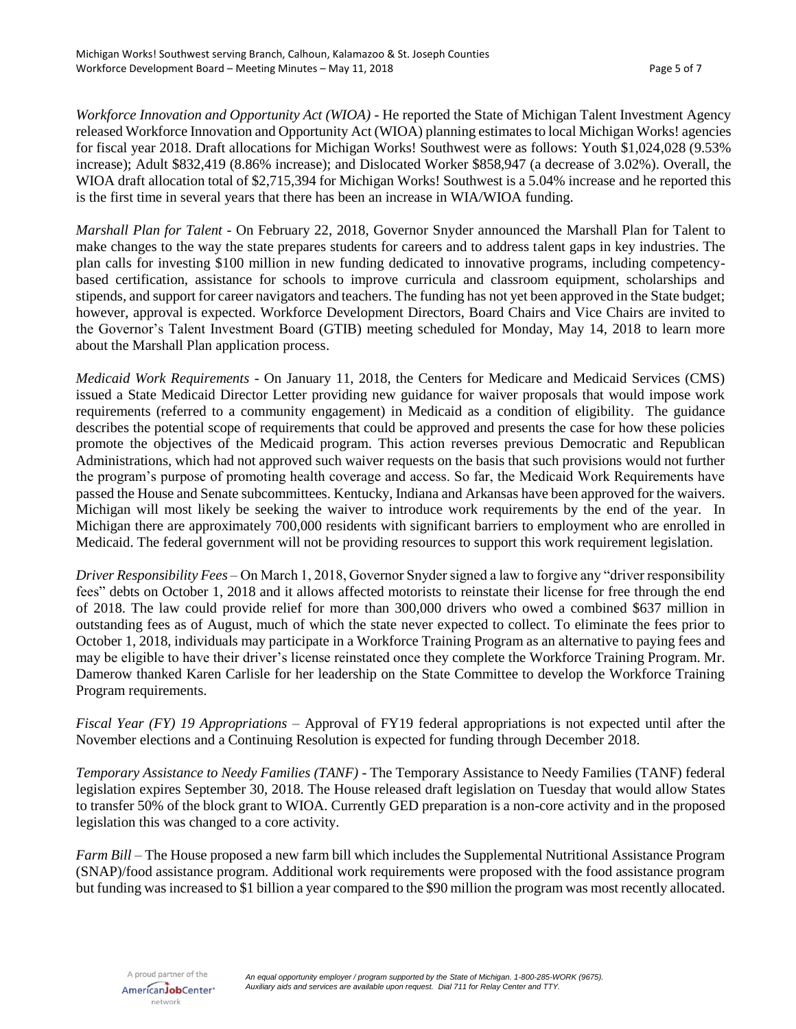*Workforce Innovation and Opportunity Act (WIOA)* - He reported the State of Michigan Talent Investment Agency released Workforce Innovation and Opportunity Act (WIOA) planning estimates to local Michigan Works! agencies for fiscal year 2018. Draft allocations for Michigan Works! Southwest were as follows: Youth \$1,024,028 (9.53% increase); Adult \$832,419 (8.86% increase); and Dislocated Worker \$858,947 (a decrease of 3.02%). Overall, the WIOA draft allocation total of \$2,715,394 for Michigan Works! Southwest is a 5.04% increase and he reported this is the first time in several years that there has been an increase in WIA/WIOA funding.

*Marshall Plan for Talent* - On February 22, 2018, Governor Snyder announced the Marshall Plan for Talent to make changes to the way the state prepares students for careers and to address talent gaps in key industries. The plan calls for investing \$100 million in new funding dedicated to innovative programs, including competencybased certification, assistance for schools to improve curricula and classroom equipment, scholarships and stipends, and support for career navigators and teachers. The funding has not yet been approved in the State budget; however, approval is expected. Workforce Development Directors, Board Chairs and Vice Chairs are invited to the Governor's Talent Investment Board (GTIB) meeting scheduled for Monday, May 14, 2018 to learn more about the Marshall Plan application process.

*Medicaid Work Requirements* - On January 11, 2018, the Centers for Medicare and Medicaid Services (CMS) issued a State Medicaid Director Letter providing new guidance for waiver proposals that would impose work requirements (referred to a community engagement) in Medicaid as a condition of eligibility. The guidance describes the potential scope of requirements that could be approved and presents the case for how these policies promote the objectives of the Medicaid program. This action reverses previous Democratic and Republican Administrations, which had not approved such waiver requests on the basis that such provisions would not further the program's purpose of promoting health coverage and access. So far, the Medicaid Work Requirements have passed the House and Senate subcommittees. Kentucky, Indiana and Arkansas have been approved for the waivers. Michigan will most likely be seeking the waiver to introduce work requirements by the end of the year. In Michigan there are approximately 700,000 residents with significant barriers to employment who are enrolled in Medicaid. The federal government will not be providing resources to support this work requirement legislation.

*Driver Responsibility Fees* – On March 1, 2018, Governor Snyder signed a law to forgive any "driver responsibility fees" debts on October 1, 2018 and it allows affected motorists to reinstate their license for free through the end of 2018. The law could provide relief for more than 300,000 drivers who owed a combined \$637 million in outstanding fees as of August, much of which the state never expected to collect. To eliminate the fees prior to October 1, 2018, individuals may participate in a Workforce Training Program as an alternative to paying fees and may be eligible to have their driver's license reinstated once they complete the Workforce Training Program. Mr. Damerow thanked Karen Carlisle for her leadership on the State Committee to develop the Workforce Training Program requirements.

*Fiscal Year (FY) 19 Appropriations* – Approval of FY19 federal appropriations is not expected until after the November elections and a Continuing Resolution is expected for funding through December 2018.

*Temporary Assistance to Needy Families (TANF)* - The Temporary Assistance to Needy Families (TANF) federal legislation expires September 30, 2018. The House released draft legislation on Tuesday that would allow States to transfer 50% of the block grant to WIOA. Currently GED preparation is a non-core activity and in the proposed legislation this was changed to a core activity.

*Farm Bill* – The House proposed a new farm bill which includes the Supplemental Nutritional Assistance Program (SNAP)/food assistance program. Additional work requirements were proposed with the food assistance program but funding was increased to \$1 billion a year compared to the \$90 million the program was most recently allocated.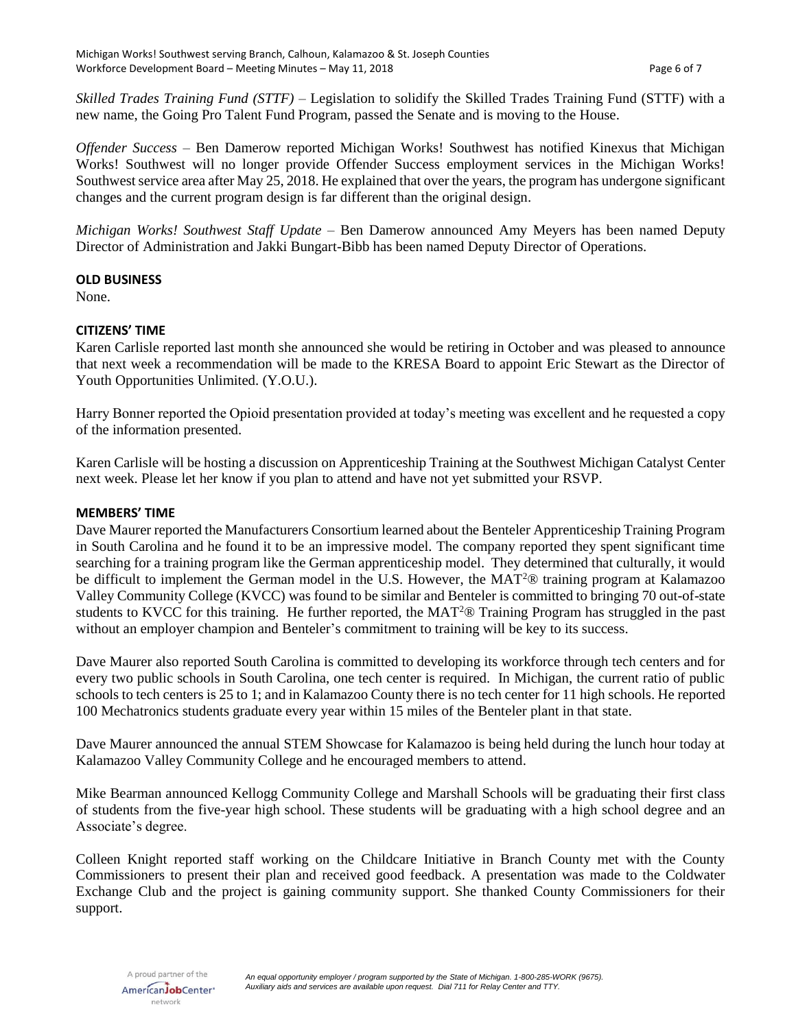*Skilled Trades Training Fund (STTF)* – Legislation to solidify the Skilled Trades Training Fund (STTF) with a new name, the Going Pro Talent Fund Program, passed the Senate and is moving to the House.

*Offender Success* – Ben Damerow reported Michigan Works! Southwest has notified Kinexus that Michigan Works! Southwest will no longer provide Offender Success employment services in the Michigan Works! Southwest service area after May 25, 2018. He explained that over the years, the program has undergone significant changes and the current program design is far different than the original design.

*Michigan Works! Southwest Staff Update* – Ben Damerow announced Amy Meyers has been named Deputy Director of Administration and Jakki Bungart-Bibb has been named Deputy Director of Operations.

## **OLD BUSINESS**

None.

### **CITIZENS' TIME**

Karen Carlisle reported last month she announced she would be retiring in October and was pleased to announce that next week a recommendation will be made to the KRESA Board to appoint Eric Stewart as the Director of Youth Opportunities Unlimited. (Y.O.U.).

Harry Bonner reported the Opioid presentation provided at today's meeting was excellent and he requested a copy of the information presented.

Karen Carlisle will be hosting a discussion on Apprenticeship Training at the Southwest Michigan Catalyst Center next week. Please let her know if you plan to attend and have not yet submitted your RSVP.

#### **MEMBERS' TIME**

Dave Maurer reported the Manufacturers Consortium learned about the Benteler Apprenticeship Training Program in South Carolina and he found it to be an impressive model. The company reported they spent significant time searching for a training program like the German apprenticeship model. They determined that culturally, it would be difficult to implement the German model in the U.S. However, the MAT<sup>2</sup>® training program at Kalamazoo Valley Community College (KVCC) was found to be similar and Benteler is committed to bringing 70 out-of-state students to KVCC for this training. He further reported, the MAT<sup>2</sup><sup>®</sup> Training Program has struggled in the past without an employer champion and Benteler's commitment to training will be key to its success.

Dave Maurer also reported South Carolina is committed to developing its workforce through tech centers and for every two public schools in South Carolina, one tech center is required. In Michigan, the current ratio of public schools to tech centers is 25 to 1; and in Kalamazoo County there is no tech center for 11 high schools. He reported 100 Mechatronics students graduate every year within 15 miles of the Benteler plant in that state.

Dave Maurer announced the annual STEM Showcase for Kalamazoo is being held during the lunch hour today at Kalamazoo Valley Community College and he encouraged members to attend.

Mike Bearman announced Kellogg Community College and Marshall Schools will be graduating their first class of students from the five-year high school. These students will be graduating with a high school degree and an Associate's degree.

Colleen Knight reported staff working on the Childcare Initiative in Branch County met with the County Commissioners to present their plan and received good feedback. A presentation was made to the Coldwater Exchange Club and the project is gaining community support. She thanked County Commissioners for their support.